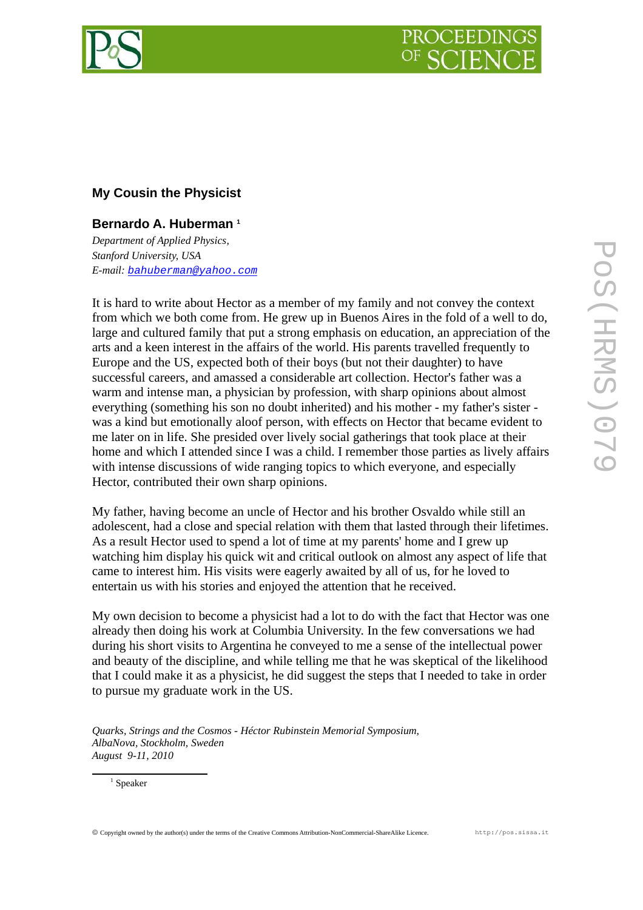

## **My Cousin the Physicist**

## **Bernardo A. Huberman [1](#page-0-0)**

*Department of Applied Physics, Stanford University, USA E-mail: [bahuberman@yahoo.com](mailto:bahuberman@yahoo.com)*

It is hard to write about Hector as a member of my family and not convey the context from which we both come from. He grew up in Buenos Aires in the fold of a well to do, large and cultured family that put a strong emphasis on education, an appreciation of the arts and a keen interest in the affairs of the world. His parents travelled frequently to Europe and the US, expected both of their boys (but not their daughter) to have successful careers, and amassed a considerable art collection. Hector's father was a warm and intense man, a physician by profession, with sharp opinions about almost everything (something his son no doubt inherited) and his mother - my father's sister was a kind but emotionally aloof person, with effects on Hector that became evident to me later on in life. She presided over lively social gatherings that took place at their home and which I attended since I was a child. I remember those parties as lively affairs with intense discussions of wide ranging topics to which everyone, and especially Hector, contributed their own sharp opinions.

My father, having become an uncle of Hector and his brother Osvaldo while still an adolescent, had a close and special relation with them that lasted through their lifetimes. As a result Hector used to spend a lot of time at my parents' home and I grew up watching him display his quick wit and critical outlook on almost any aspect of life that came to interest him. His visits were eagerly awaited by all of us, for he loved to entertain us with his stories and enjoyed the attention that he received.

My own decision to become a physicist had a lot to do with the fact that Hector was one already then doing his work at Columbia University. In the few conversations we had during his short visits to Argentina he conveyed to me a sense of the intellectual power and beauty of the discipline, and while telling me that he was skeptical of the likelihood that I could make it as a physicist, he did suggest the steps that I needed to take in order to pursue my graduate work in the US.

<span id="page-0-0"></span>*Quarks, Strings and the Cosmos - Héctor Rubinstein Memorial Symposium, AlbaNova, Stockholm, Sweden August 9-11, 2010*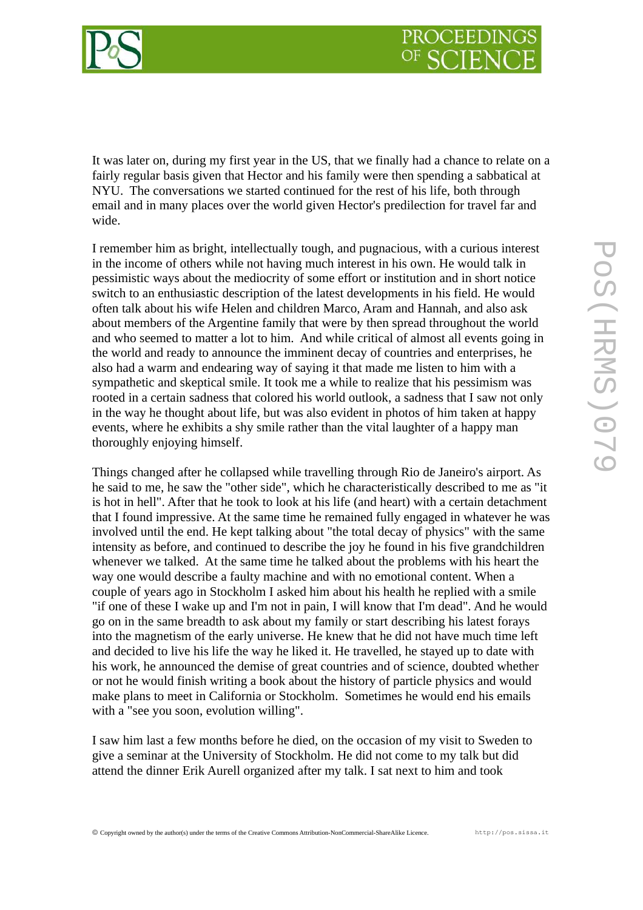

It was later on, during my first year in the US, that we finally had a chance to relate on a fairly regular basis given that Hector and his family were then spending a sabbatical at NYU. The conversations we started continued for the rest of his life, both through email and in many places over the world given Hector's predilection for travel far and wide.

I remember him as bright, intellectually tough, and pugnacious, with a curious interest in the income of others while not having much interest in his own. He would talk in pessimistic ways about the mediocrity of some effort or institution and in short notice switch to an enthusiastic description of the latest developments in his field. He would often talk about his wife Helen and children Marco, Aram and Hannah, and also ask about members of the Argentine family that were by then spread throughout the world and who seemed to matter a lot to him. And while critical of almost all events going in the world and ready to announce the imminent decay of countries and enterprises, he also had a warm and endearing way of saying it that made me listen to him with a sympathetic and skeptical smile. It took me a while to realize that his pessimism was rooted in a certain sadness that colored his world outlook, a sadness that I saw not only in the way he thought about life, but was also evident in photos of him taken at happy events, where he exhibits a shy smile rather than the vital laughter of a happy man thoroughly enjoying himself.

Things changed after he collapsed while travelling through Rio de Janeiro's airport. As he said to me, he saw the "other side", which he characteristically described to me as "it is hot in hell". After that he took to look at his life (and heart) with a certain detachment that I found impressive. At the same time he remained fully engaged in whatever he was involved until the end. He kept talking about "the total decay of physics" with the same intensity as before, and continued to describe the joy he found in his five grandchildren whenever we talked. At the same time he talked about the problems with his heart the way one would describe a faulty machine and with no emotional content. When a couple of years ago in Stockholm I asked him about his health he replied with a smile "if one of these I wake up and I'm not in pain, I will know that I'm dead". And he would go on in the same breadth to ask about my family or start describing his latest forays into the magnetism of the early universe. He knew that he did not have much time left and decided to live his life the way he liked it. He travelled, he stayed up to date with his work, he announced the demise of great countries and of science, doubted whether or not he would finish writing a book about the history of particle physics and would make plans to meet in California or Stockholm. Sometimes he would end his emails with a "see you soon, evolution willing".

I saw him last a few months before he died, on the occasion of my visit to Sweden to give a seminar at the University of Stockholm. He did not come to my talk but did attend the dinner Erik Aurell organized after my talk. I sat next to him and took